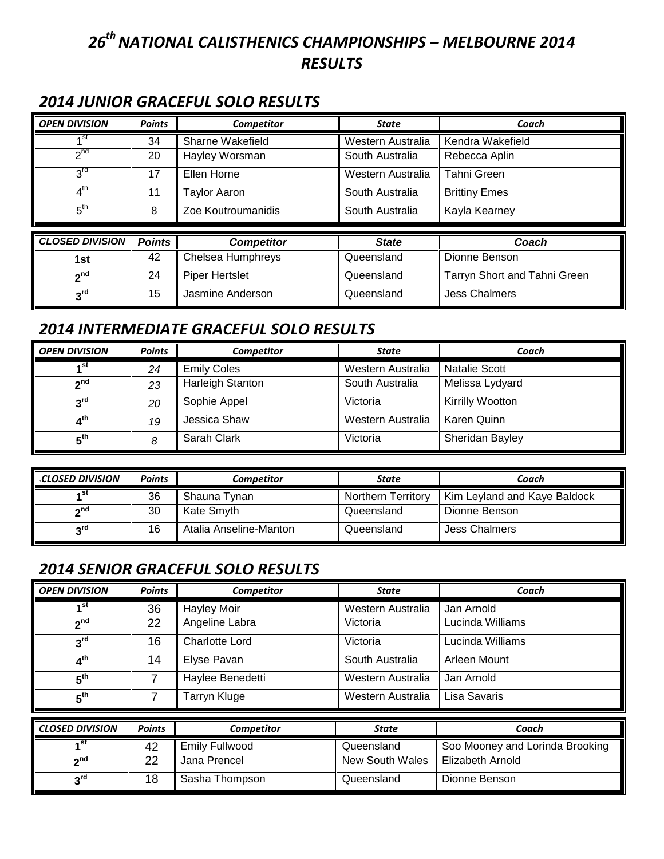# *26 th NATIONAL CALISTHENICS CHAMPIONSHIPS – MELBOURNE 2014 RESULTS*

## *2014 JUNIOR GRACEFUL SOLO RESULTS*

| <b>OPEN DIVISION</b>   | <b>Points</b> | Competitor            | <b>State</b>      | Coach                        |
|------------------------|---------------|-----------------------|-------------------|------------------------------|
| <sub>1</sub> st        | 34            | Sharne Wakefield      | Western Australia | Kendra Wakefield             |
| $2^{nd}$               | 20            | Hayley Worsman        | South Australia   | Rebecca Aplin                |
| $3^{\text{rd}}$        | 17            | Ellen Horne           | Western Australia | Tahni Green                  |
| 4 <sup>th</sup>        | 11            | <b>Taylor Aaron</b>   | South Australia   | <b>Brittiny Emes</b>         |
| $5^{\text{th}}$        | 8             | Zoe Koutroumanidis    | South Australia   | Kayla Kearney                |
|                        |               |                       |                   |                              |
| <b>CLOSED DIVISION</b> | <b>Points</b> | <b>Competitor</b>     | <b>State</b>      | Coach                        |
| 1st                    | 42            | Chelsea Humphreys     | Queensland        | Dionne Benson                |
| 2 <sup>nd</sup>        | 24            | <b>Piper Hertslet</b> | Queensland        | Tarryn Short and Tahni Green |
| 3 <sup>rd</sup>        | 15            | Jasmine Anderson      | Queensland        | <b>Jess Chalmers</b>         |

#### *2014 INTERMEDIATE GRACEFUL SOLO RESULTS*

| <b>OPEN DIVISION</b> | <b>Points</b> | Competitor              | <b>State</b>      | Coach                |
|----------------------|---------------|-------------------------|-------------------|----------------------|
| ⊿st                  | 24            | <b>Emily Coles</b>      | Western Australia | <b>Natalie Scott</b> |
| 2 <sup>nd</sup>      | 23            | <b>Harleigh Stanton</b> | South Australia   | Melissa Lydyard      |
| 3 <sup>rd</sup>      | 20            | Sophie Appel            | Victoria          | Kirrilly Wootton     |
| 4 <sup>th</sup>      | 19            | Jessica Shaw            | Western Australia | Karen Quinn          |
| 5 <sup>th</sup>      | 8             | Sarah Clark             | Victoria          | Sheridan Bayley      |

| <b>CLOSED DIVISION</b>   | <b>Points</b> | Competitor             | State                     | Coach                        |
|--------------------------|---------------|------------------------|---------------------------|------------------------------|
| st،                      | 36            | Shauna Tynan           | <b>Northern Territory</b> | Kim Leyland and Kaye Baldock |
| $\mathbf{a}^{\text{nd}}$ | 30            | Kate Smyth             | Queensland                | Dionne Benson                |
| $3^{\text{rd}}$          | 16            | Atalia Anseline-Manton | Queensland                | Jess Chalmers                |

#### *2014 SENIOR GRACEFUL SOLO RESULTS*

| <b>OPEN DIVISION</b>   | <b>Points</b> | Competitor            | <b>State</b>           | Coach                           |
|------------------------|---------------|-----------------------|------------------------|---------------------------------|
| 1 <sup>st</sup>        | 36            | <b>Hayley Moir</b>    | Western Australia      | Jan Arnold                      |
| 2 <sup>nd</sup>        | 22            | Angeline Labra        | Victoria               | Lucinda Williams                |
| 3 <sup>rd</sup>        | 16            | <b>Charlotte Lord</b> | Victoria               | Lucinda Williams                |
| 4 <sup>th</sup>        | 14            | Elyse Pavan           | South Australia        | Arleen Mount                    |
| $5^{\text{th}}$        | 7             | Haylee Benedetti      | Western Australia      | Jan Arnold                      |
| 5 <sup>th</sup>        | 7             | Tarryn Kluge          | Western Australia      | Lisa Savaris                    |
|                        |               |                       |                        |                                 |
| <b>CLOSED DIVISION</b> | <b>Points</b> | Competitor            | <b>State</b>           | Coach                           |
| ⊿st                    | 42            | <b>Emily Fullwood</b> | Queensland             | Soo Mooney and Lorinda Brooking |
| 2 <sup>nd</sup>        | 22            | Jana Prencel          | <b>New South Wales</b> | Elizabeth Arnold                |
| $3^{\text{rd}}$        | 18            | Sasha Thompson        | Queensland             | Dionne Benson                   |